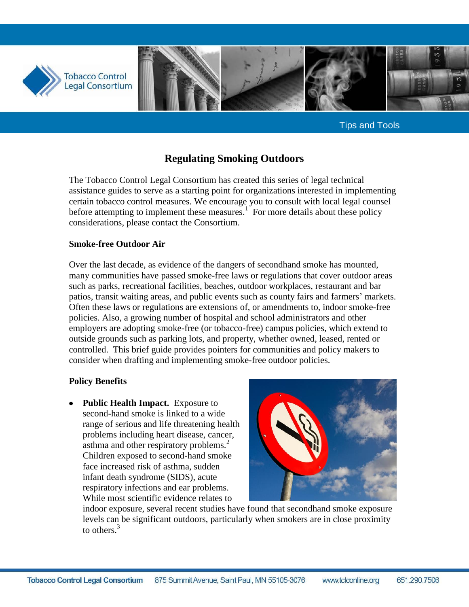

Tips and Tools

# **Regulating Smoking Outdoors**

The Tobacco Control Legal Consortium has created this series of legal technical assistance guides to serve as a starting point for organizations interested in implementing certain tobacco control measures. We encourage you to consult with local legal counsel before attempting to implement these measures.<sup>1</sup> For more details about these policy considerations, please contact the Consortium.

#### **Smoke-free Outdoor Air**

Over the last decade, as evidence of the dangers of secondhand smoke has mounted, many communities have passed smoke-free laws or regulations that cover outdoor areas such as parks, recreational facilities, beaches, outdoor workplaces, restaurant and bar patios, transit waiting areas, and public events such as county fairs and farmers' markets. Often these laws or regulations are extensions of, or amendments to, indoor smoke-free policies. Also, a growing number of hospital and school administrators and other employers are adopting smoke-free (or tobacco-free) campus policies, which extend to outside grounds such as parking lots, and property, whether owned, leased, rented or controlled. This brief guide provides pointers for communities and policy makers to consider when drafting and implementing smoke-free outdoor policies.

### **Policy Benefits**

**Public Health Impact.** Exposure to second-hand smoke is linked to a wide range of serious and life threatening health problems including heart disease, cancer, asthma and other respiratory problems.<sup>2</sup> Children exposed to second-hand smoke face increased risk of asthma, sudden infant death syndrome (SIDS), acute respiratory infections and ear problems. While most scientific evidence relates to



indoor exposure, several recent studies have found that secondhand smoke exposure levels can be significant outdoors, particularly when smokers are in close proximity to others.<sup>3</sup>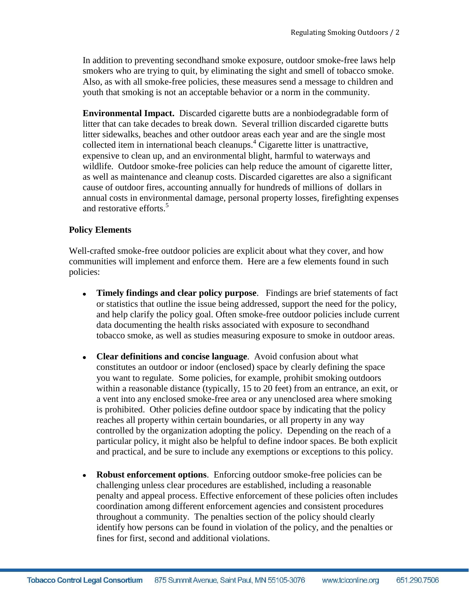In addition to preventing secondhand smoke exposure, outdoor smoke-free laws help smokers who are trying to quit, by eliminating the sight and smell of tobacco smoke. Also, as with all smoke-free policies, these measures send a message to children and youth that smoking is not an acceptable behavior or a norm in the community.

**Environmental Impact.** Discarded cigarette butts are a nonbiodegradable form of litter that can take decades to break down. Several trillion discarded cigarette butts litter sidewalks, beaches and other outdoor areas each year and are the single most collected item in international beach cleanups.<sup>4</sup> Cigarette litter is unattractive, expensive to clean up, and an environmental blight, harmful to waterways and wildlife. Outdoor smoke-free policies can help reduce the amount of cigarette litter, as well as maintenance and cleanup costs. Discarded cigarettes are also a significant cause of outdoor fires, accounting annually for hundreds of millions of dollars in annual costs in environmental damage, personal property losses, firefighting expenses and restorative efforts.<sup>5</sup>

### **Policy Elements**

Well-crafted smoke-free outdoor policies are explicit about what they cover, and how communities will implement and enforce them. Here are a few elements found in such policies:

- **Timely findings and clear policy purpose**. Findings are brief statements of fact or statistics that outline the issue being addressed, support the need for the policy, and help clarify the policy goal. Often smoke-free outdoor policies include current data documenting the health risks associated with exposure to secondhand tobacco smoke, as well as studies measuring exposure to smoke in outdoor areas.
- $\bullet$ **Clear definitions and concise language**. Avoid confusion about what constitutes an outdoor or indoor (enclosed) space by clearly defining the space you want to regulate. Some policies, for example, prohibit smoking outdoors within a reasonable distance (typically, 15 to 20 feet) from an entrance, an exit, or a vent into any enclosed smoke-free area or any unenclosed area where smoking is prohibited. Other policies define outdoor space by indicating that the policy reaches all property within certain boundaries, or all property in any way controlled by the organization adopting the policy. Depending on the reach of a particular policy, it might also be helpful to define indoor spaces. Be both explicit and practical, and be sure to include any exemptions or exceptions to this policy.
- **Robust enforcement options**. Enforcing outdoor smoke-free policies can be  $\bullet$ challenging unless clear procedures are established, including a reasonable penalty and appeal process. Effective enforcement of these policies often includes coordination among different enforcement agencies and consistent procedures throughout a community. The penalties section of the policy should clearly identify how persons can be found in violation of the policy, and the penalties or fines for first, second and additional violations.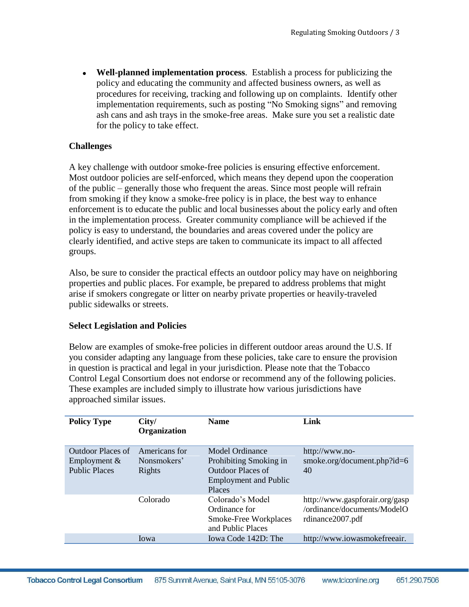**Well-planned implementation process**. Establish a process for publicizing the policy and educating the community and affected business owners, as well as procedures for receiving, tracking and following up on complaints. Identify other implementation requirements, such as posting "No Smoking signs" and removing ash cans and ash trays in the smoke-free areas. Make sure you set a realistic date for the policy to take effect.

### **Challenges**

A key challenge with outdoor smoke-free policies is ensuring effective enforcement. Most outdoor policies are self-enforced, which means they depend upon the cooperation of the public – generally those who frequent the areas. Since most people will refrain from smoking if they know a smoke-free policy is in place, the best way to enhance enforcement is to educate the public and local businesses about the policy early and often in the implementation process. Greater community compliance will be achieved if the policy is easy to understand, the boundaries and areas covered under the policy are clearly identified, and active steps are taken to communicate its impact to all affected groups.

Also, be sure to consider the practical effects an outdoor policy may have on neighboring properties and public places. For example, be prepared to address problems that might arise if smokers congregate or litter on nearby private properties or heavily-traveled public sidewalks or streets.

### **Select Legislation and Policies**

Below are examples of smoke-free policies in different outdoor areas around the U.S. If you consider adapting any language from these policies, take care to ensure the provision in question is practical and legal in your jurisdiction. Please note that the Tobacco Control Legal Consortium does not endorse or recommend any of the following policies. These examples are included simply to illustrate how various jurisdictions have approached similar issues.

| <b>Policy Type</b>                                          | City/<br><b>Organization</b>           | <b>Name</b>                                                                                                            | Link                                                                              |
|-------------------------------------------------------------|----------------------------------------|------------------------------------------------------------------------------------------------------------------------|-----------------------------------------------------------------------------------|
| Outdoor Places of<br>Employment $&$<br><b>Public Places</b> | Americans for<br>Nonsmokers'<br>Rights | Model Ordinance<br>Prohibiting Smoking in<br><b>Outdoor Places of</b><br><b>Employment and Public</b><br><b>Places</b> | http://www.no-<br>smoke.org/document.php?id=6<br>40                               |
|                                                             | Colorado                               | Colorado's Model<br>Ordinance for<br>Smoke-Free Workplaces<br>and Public Places                                        | http://www.gaspforair.org/gasp<br>/ordinance/documents/ModelO<br>rdinance2007.pdf |
|                                                             | Iowa                                   | Iowa Code 142D: The                                                                                                    | http://www.iowasmokefreeair.                                                      |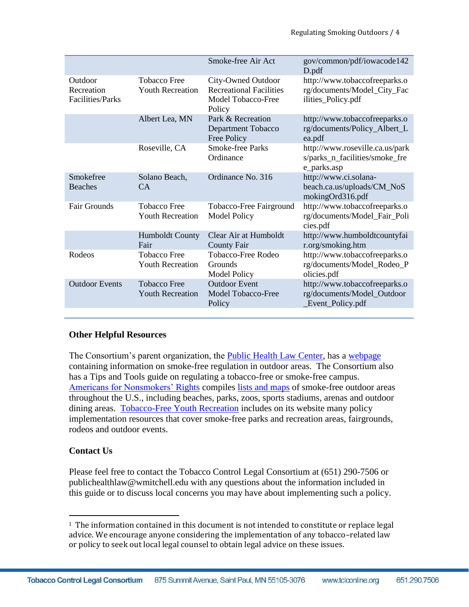|                                                  |                                                | Smoke-free Air Act                                                                   | gov/common/pdf/iowacode142<br>D.pdf                                                |
|--------------------------------------------------|------------------------------------------------|--------------------------------------------------------------------------------------|------------------------------------------------------------------------------------|
| Outdoor<br>Recreation<br><b>Facilities/Parks</b> | <b>Tobacco Free</b><br><b>Youth Recreation</b> | City-Owned Outdoor<br><b>Recreational Facilities</b><br>Model Tobacco-Free<br>Policy | http://www.tobaccofreeparks.o<br>rg/documents/Model_City_Fac<br>ilities_Policy.pdf |
|                                                  | Albert Lea, MN                                 | Park & Recreation<br>Department Tobacco<br>Free Policy                               | http://www.tobaccofreeparks.o<br>rg/documents/Policy_Albert_L<br>ea.pdf            |
|                                                  | Roseville, CA                                  | <b>Smoke-free Parks</b><br>Ordinance                                                 | http://www.roseville.ca.us/park<br>s/parks_n_facilities/smoke_fre<br>e_parks.asp   |
| Smokefree<br><b>Beaches</b>                      | Solano Beach,<br>CA                            | Ordinance No. 316                                                                    | http://www.ci.solana-<br>beach.ca.us/uploads/CM_NoS<br>mokingOrd316.pdf            |
| <b>Fair Grounds</b>                              | <b>Tobacco Free</b><br><b>Youth Recreation</b> | Tobacco-Free Fairground<br><b>Model Policy</b>                                       | http://www.tobaccofreeparks.o<br>rg/documents/Model_Fair_Poli<br>cies.pdf          |
|                                                  | <b>Humboldt County</b><br>Fair                 | Clear Air at Humboldt<br><b>County Fair</b>                                          | http://www.humboldtcountyfai<br>r.org/smoking.htm                                  |
| Rodeos                                           | <b>Tobacco Free</b><br><b>Youth Recreation</b> | Tobacco-Free Rodeo<br><b>Grounds</b><br><b>Model Policy</b>                          | http://www.tobaccofreeparks.o<br>rg/documents/Model_Rodeo_P<br>olicies.pdf         |
| <b>Outdoor Events</b>                            | <b>Tobacco Free</b><br><b>Youth Recreation</b> | <b>Outdoor Event</b><br>Model Tobacco-Free<br>Policy                                 | http://www.tobaccofreeparks.o<br>rg/documents/Model_Outdoor<br>_Event_Policy.pdf   |
|                                                  |                                                |                                                                                      |                                                                                    |

## **Other Helpful Resources**

The Consortium's parent organization, the [Public Health Law Center,](http://publichealthlawcenter.org/) has a [webpage](http://www.publichealthlawcenter.org/topics/tobacco-control/smoking-regulation/outdoors) containing information on smoke-free regulation in outdoor areas. The Consortium also has a Tips and Tools guide on regulating a tobacco-free or smoke-free campus. [Americans for Nonsmokers'](http://www.no-smoke.org/) Rights compiles [lists and maps](http://www.no-smoke.org/goingsmokefree.php?id=519) of smoke-free outdoor areas throughout the U.S., including beaches, parks, zoos, sports stadiums, arenas and outdoor dining areas. [Tobacco-Free Youth Recreation](http://www.tobaccofreeparks.org/about_tfyr.html) includes on its website many policy implementation resources that cover smoke-free parks and recreation areas, fairgrounds, rodeos and outdoor events.

## **Contact Us**

l

Please feel free to contact the Tobacco Control Legal Consortium at (651) 290-7506 or publichealthlaw@wmitchell.edu with any questions about the information included in this guide or to discuss local concerns you may have about implementing such a policy.

<sup>1</sup> The information contained in this document is not intended to constitute or replace legal advice. We encourage anyone considering the implementation of any tobacco–related law or policy to seek out local legal counsel to obtain legal advice on these issues.